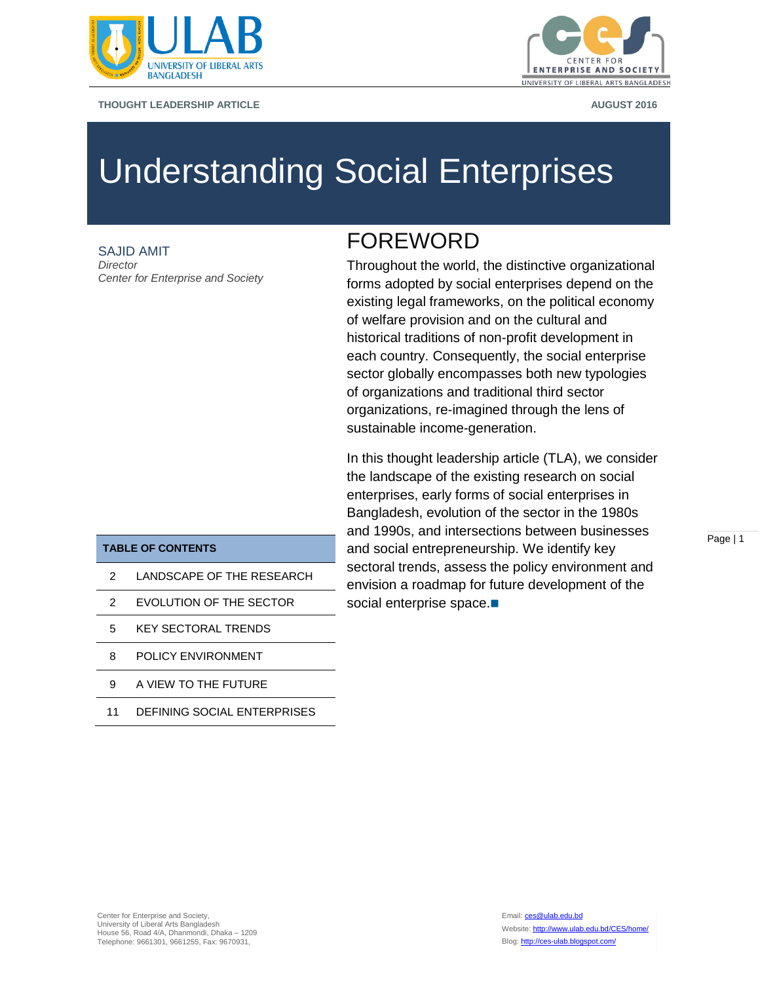

**THOUGHT LEADERSHIP ARTICLE AUGUST 2016**



# Understanding Social Enterprises

SAJID AMIT *Director Center for Enterprise and Society*

# FOREWORD

Throughout the world, the distinctive organizational forms adopted by social enterprises depend on the existing legal frameworks, on the political economy of welfare provision and on the cultural and historical traditions of non-profit development in each country. Consequently, the social enterprise sector globally encompasses both new typologies of organizations and traditional third sector organizations, re-imagined through the lens of sustainable income-generation.

In this thought leadership article (TLA), we consider the landscape of the existing research on social enterprises, early forms of social enterprises in Bangladesh, evolution of the sector in the 1980s and 1990s, and intersections between businesses and social entrepreneurship. We identify key sectoral trends, assess the policy environment and envision a roadmap for future development of the social enterprise space.

Page | 1

#### **TABLE OF CONTENTS**

- 2 LANDSCAPE OF THE RESEARCH
- 2 EVOLUTION OF THE SECTOR
- 5 KEY SECTORAL TRENDS
- 8 POLICY ENVIRONMENT
- 9 A VIEW TO THE FUTURE
- 11 DEFINING SOCIAL ENTERPRISES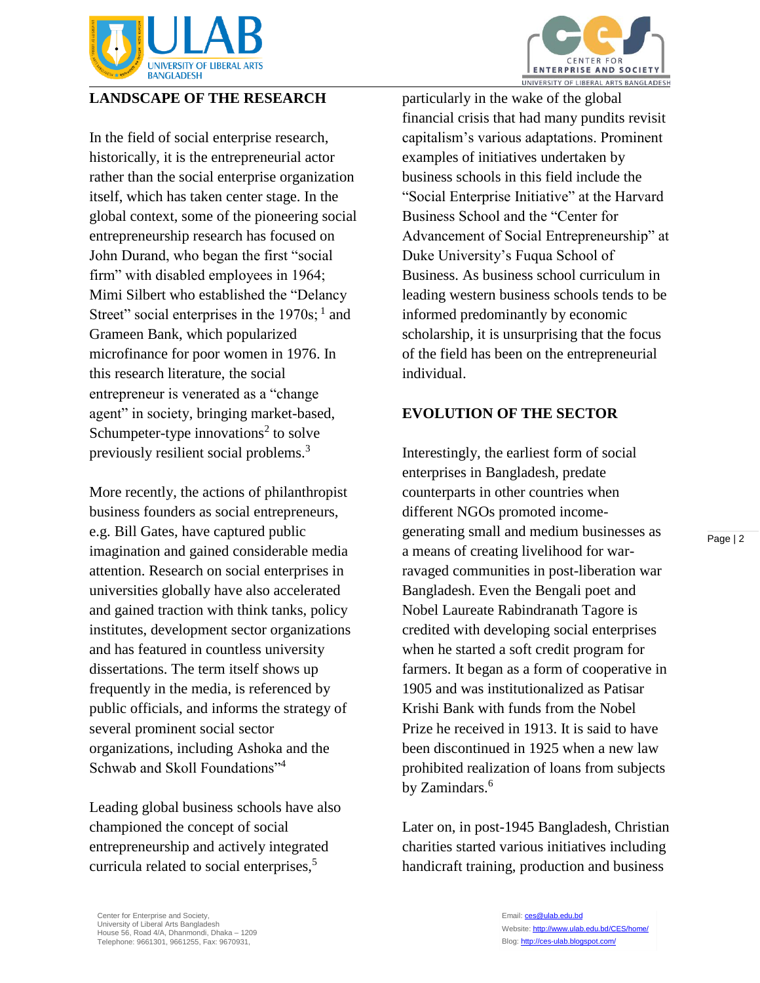

### **LANDSCAPE OF THE RESEARCH**

In the field of social enterprise research, historically, it is the entrepreneurial actor rather than the social enterprise organization itself, which has taken center stage. In the global context, some of the pioneering social entrepreneurship research has focused on John Durand, who began the first "social firm" with disabled employees in 1964; Mimi Silbert who established the "Delancy Street" social enterprises in the  $1970s$ ;  $<sup>1</sup>$  and</sup> Grameen Bank, which popularized microfinance for poor women in 1976. In this research literature, the social entrepreneur is venerated as a "change agent" in society, bringing market-based, Schumpeter-type innovations<sup>2</sup> to solve previously resilient social problems.<sup>3</sup>

More recently, the actions of philanthropist business founders as social entrepreneurs, e.g. Bill Gates, have captured public imagination and gained considerable media attention. Research on social enterprises in universities globally have also accelerated and gained traction with think tanks, policy institutes, development sector organizations and has featured in countless university dissertations. The term itself shows up frequently in the media, is referenced by public officials, and informs the strategy of several prominent social sector organizations, including Ashoka and the Schwab and Skoll Foundations"<sup>4</sup>

Leading global business schools have also championed the concept of social entrepreneurship and actively integrated curricula related to social enterprises,<sup>5</sup>



particularly in the wake of the global financial crisis that had many pundits revisit capitalism's various adaptations. Prominent examples of initiatives undertaken by business schools in this field include the "Social Enterprise Initiative" at the Harvard Business School and the "Center for Advancement of Social Entrepreneurship" at Duke University's Fuqua School of Business. As business school curriculum in leading western business schools tends to be informed predominantly by economic scholarship, it is unsurprising that the focus of the field has been on the entrepreneurial individual.

#### **EVOLUTION OF THE SECTOR**

Interestingly, the earliest form of social enterprises in Bangladesh, predate counterparts in other countries when different NGOs promoted incomegenerating small and medium businesses as a means of creating livelihood for warravaged communities in post-liberation war Bangladesh. Even the Bengali poet and Nobel Laureate Rabindranath Tagore is credited with developing social enterprises when he started a soft credit program for farmers. It began as a form of cooperative in 1905 and was institutionalized as Patisar Krishi Bank with funds from the Nobel Prize he received in 1913. It is said to have been discontinued in 1925 when a new law prohibited realization of loans from subjects by Zamindars.<sup>6</sup>

Later on, in post-1945 Bangladesh, Christian charities started various initiatives including handicraft training, production and business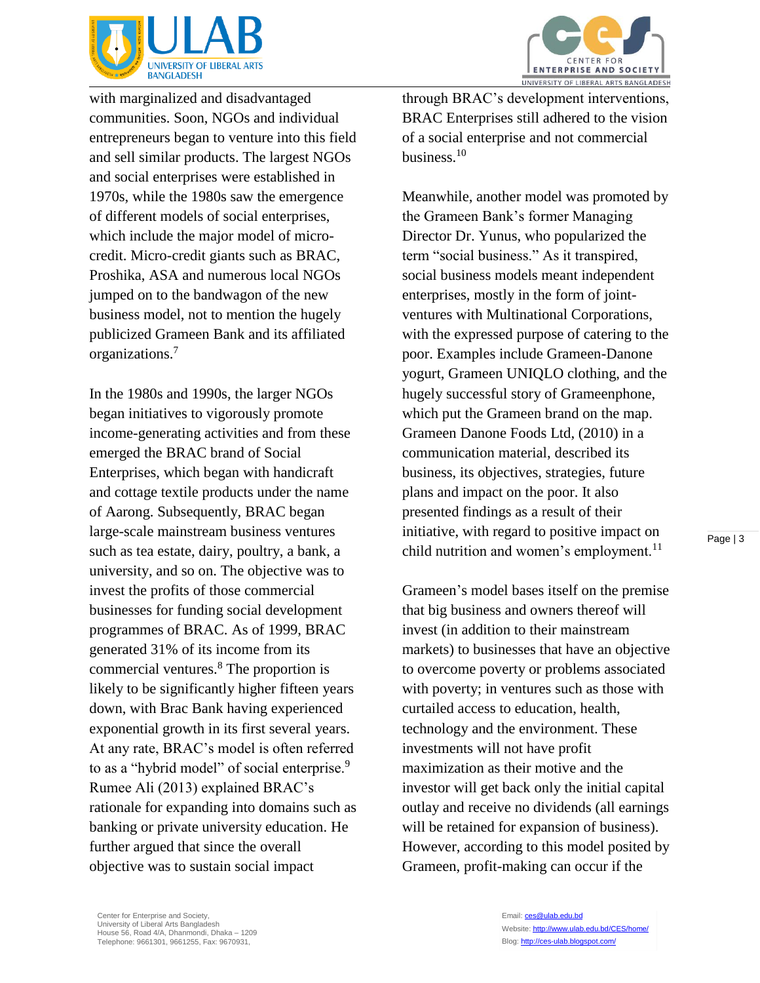

with marginalized and disadvantaged communities. Soon, NGOs and individual entrepreneurs began to venture into this field and sell similar products. The largest NGOs and social enterprises were established in 1970s, while the 1980s saw the emergence of different models of social enterprises, which include the major model of microcredit. Micro-credit giants such as BRAC, Proshika, ASA and numerous local NGOs jumped on to the bandwagon of the new business model, not to mention the hugely publicized Grameen Bank and its affiliated organizations.<sup>7</sup>

In the 1980s and 1990s, the larger NGOs began initiatives to vigorously promote income-generating activities and from these emerged the BRAC brand of Social Enterprises, which began with handicraft and cottage textile products under the name of Aarong. Subsequently, BRAC began large-scale mainstream business ventures such as tea estate, dairy, poultry, a bank, a university, and so on. The objective was to invest the profits of those commercial businesses for funding social development programmes of BRAC. As of 1999, BRAC generated 31% of its income from its commercial ventures.<sup>8</sup> The proportion is likely to be significantly higher fifteen years down, with Brac Bank having experienced exponential growth in its first several years. At any rate, BRAC's model is often referred to as a "hybrid model" of social enterprise.<sup>9</sup> Rumee Ali (2013) explained BRAC's rationale for expanding into domains such as banking or private university education. He further argued that since the overall objective was to sustain social impact

through BRAC's development interventions, BRAC Enterprises still adhered to the vision of a social enterprise and not commercial business. $10$ 

Meanwhile, another model was promoted by the Grameen Bank's former Managing Director Dr. Yunus, who popularized the term "social business." As it transpired, social business models meant independent enterprises, mostly in the form of jointventures with Multinational Corporations, with the expressed purpose of catering to the poor. Examples include Grameen-Danone yogurt, Grameen UNIQLO clothing, and the hugely successful story of Grameenphone, which put the Grameen brand on the map. Grameen Danone Foods Ltd, (2010) in a communication material, described its business, its objectives, strategies, future plans and impact on the poor. It also presented findings as a result of their initiative, with regard to positive impact on child nutrition and women's employment.<sup>11</sup>

Grameen's model bases itself on the premise that big business and owners thereof will invest (in addition to their mainstream markets) to businesses that have an objective to overcome poverty or problems associated with poverty; in ventures such as those with curtailed access to education, health, technology and the environment. These investments will not have profit maximization as their motive and the investor will get back only the initial capital outlay and receive no dividends (all earnings will be retained for expansion of business). However, according to this model posited by Grameen, profit-making can occur if the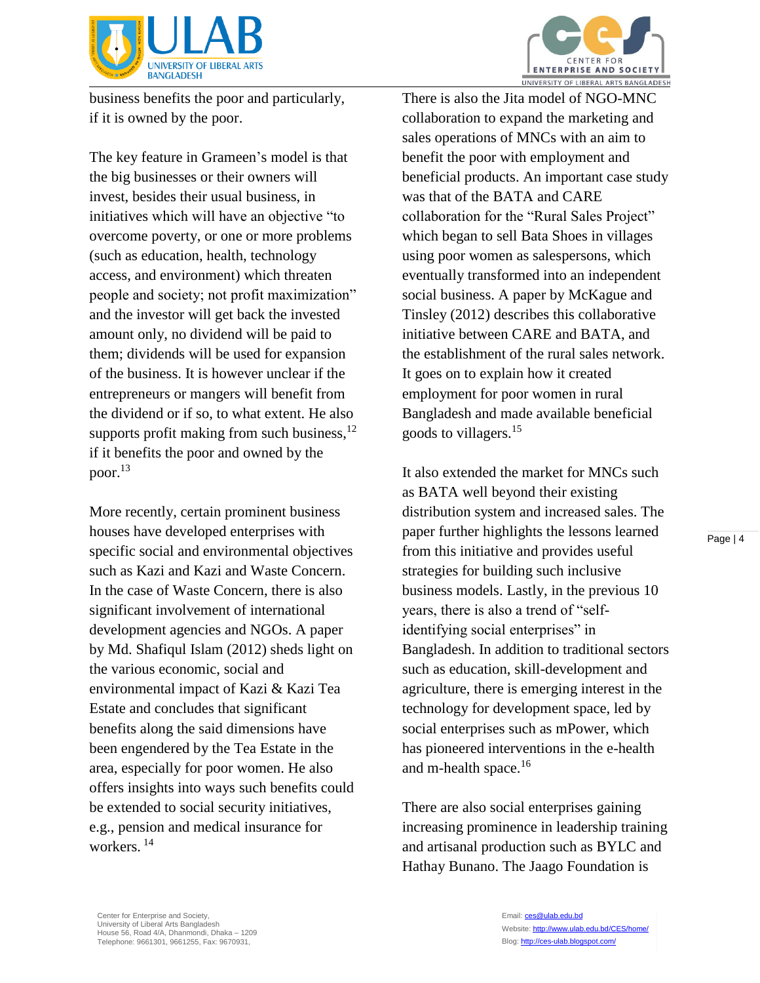

business benefits the poor and particularly, if it is owned by the poor.

The key feature in Grameen's model is that the big businesses or their owners will invest, besides their usual business, in initiatives which will have an objective "to overcome poverty, or one or more problems (such as education, health, technology access, and environment) which threaten people and society; not profit maximization" and the investor will get back the invested amount only, no dividend will be paid to them; dividends will be used for expansion of the business. It is however unclear if the entrepreneurs or mangers will benefit from the dividend or if so, to what extent. He also supports profit making from such business, $^{12}$ if it benefits the poor and owned by the poor.<sup>13</sup>

More recently, certain prominent business houses have developed enterprises with specific social and environmental objectives such as Kazi and Kazi and Waste Concern. In the case of Waste Concern, there is also significant involvement of international development agencies and NGOs. A paper by Md. Shafiqul Islam (2012) sheds light on the various economic, social and environmental impact of Kazi & Kazi Tea Estate and concludes that significant benefits along the said dimensions have been engendered by the Tea Estate in the area, especially for poor women. He also offers insights into ways such benefits could be extended to social security initiatives, e.g., pension and medical insurance for workers. <sup>14</sup>

There is also the Jita model of NGO-MNC collaboration to expand the marketing and sales operations of MNCs with an aim to benefit the poor with employment and beneficial products. An important case study was that of the BATA and CARE collaboration for the "Rural Sales Project" which began to sell Bata Shoes in villages using poor women as salespersons, which eventually transformed into an independent social business. A paper by McKague and Tinsley (2012) describes this collaborative initiative between CARE and BATA, and the establishment of the rural sales network. It goes on to explain how it created employment for poor women in rural Bangladesh and made available beneficial goods to villagers.<sup>15</sup>

It also extended the market for MNCs such as BATA well beyond their existing distribution system and increased sales. The paper further highlights the lessons learned from this initiative and provides useful strategies for building such inclusive business models. Lastly, in the previous 10 years, there is also a trend of "selfidentifying social enterprises" in Bangladesh. In addition to traditional sectors such as education, skill-development and agriculture, there is emerging interest in the technology for development space, led by social enterprises such as mPower, which has pioneered interventions in the e-health and m-health space. $16$ 

There are also social enterprises gaining increasing prominence in leadership training and artisanal production such as BYLC and Hathay Bunano. The Jaago Foundation is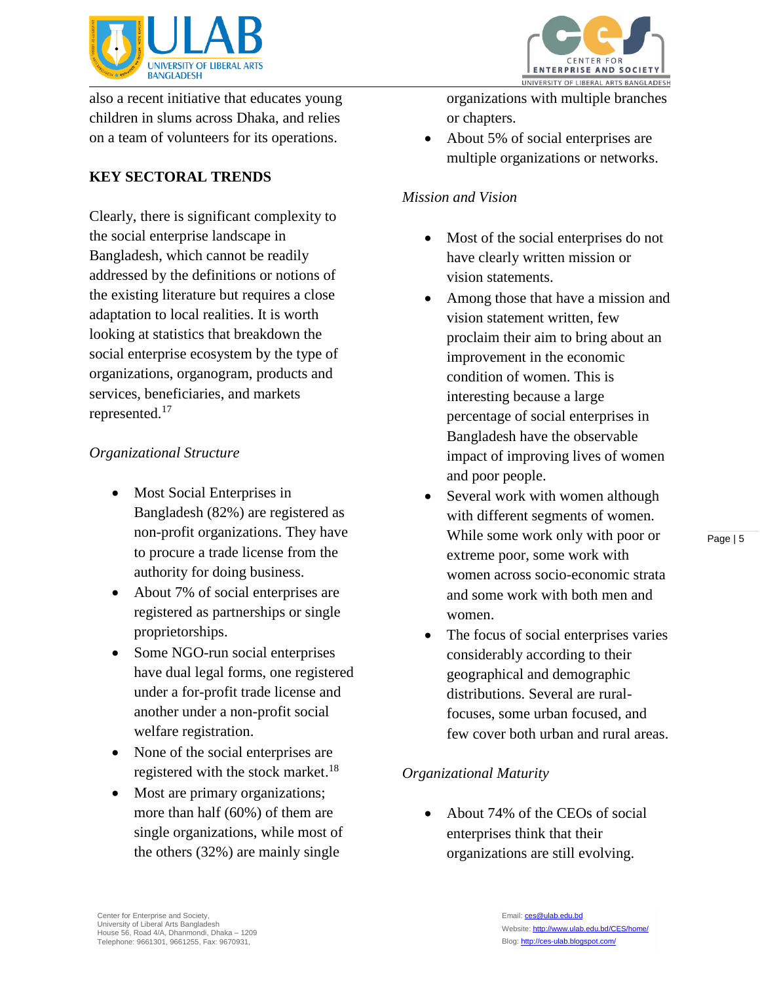

also a recent initiative that educates young children in slums across Dhaka, and relies on a team of volunteers for its operations.

### **KEY SECTORAL TRENDS**

Clearly, there is significant complexity to the social enterprise landscape in Bangladesh, which cannot be readily addressed by the definitions or notions of the existing literature but requires a close adaptation to local realities. It is worth looking at statistics that breakdown the social enterprise ecosystem by the type of organizations, organogram, products and services, beneficiaries, and markets represented.<sup>17</sup>

#### *Organizational Structure*

- Most Social Enterprises in Bangladesh (82%) are registered as non-profit organizations. They have to procure a trade license from the authority for doing business.
- About 7% of social enterprises are registered as partnerships or single proprietorships.
- Some NGO-run social enterprises have dual legal forms, one registered under a for-profit trade license and another under a non-profit social welfare registration.
- None of the social enterprises are registered with the stock market.<sup>18</sup>
- Most are primary organizations; more than half (60%) of them are single organizations, while most of the others (32%) are mainly single



organizations with multiple branches or chapters.

• About 5% of social enterprises are multiple organizations or networks.

#### *Mission and Vision*

- Most of the social enterprises do not have clearly written mission or vision statements.
- Among those that have a mission and vision statement written, few proclaim their aim to bring about an improvement in the economic condition of women. This is interesting because a large percentage of social enterprises in Bangladesh have the observable impact of improving lives of women and poor people.
- Several work with women although with different segments of women. While some work only with poor or extreme poor, some work with women across socio-economic strata and some work with both men and women.
- The focus of social enterprises varies considerably according to their geographical and demographic distributions. Several are ruralfocuses, some urban focused, and few cover both urban and rural areas.

#### *Organizational Maturity*

 About 74% of the CEOs of social enterprises think that their organizations are still evolving.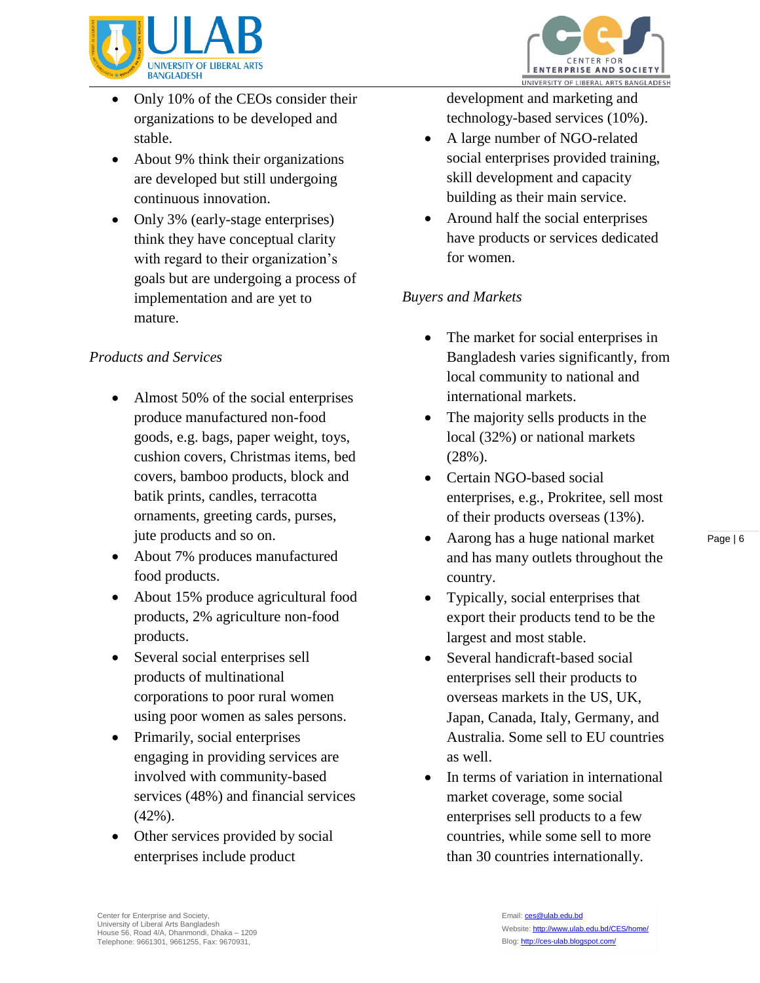

- Only 10% of the CEOs consider their organizations to be developed and stable.
- About 9% think their organizations are developed but still undergoing continuous innovation.
- Only 3% (early-stage enterprises) think they have conceptual clarity with regard to their organization's goals but are undergoing a process of implementation and are yet to mature.

#### *Products and Services*

- Almost 50% of the social enterprises produce manufactured non-food goods, e.g. bags, paper weight, toys, cushion covers, Christmas items, bed covers, bamboo products, block and batik prints, candles, terracotta ornaments, greeting cards, purses, jute products and so on.
- About 7% produces manufactured food products.
- About 15% produce agricultural food products, 2% agriculture non-food products.
- Several social enterprises sell products of multinational corporations to poor rural women using poor women as sales persons.
- Primarily, social enterprises engaging in providing services are involved with community-based services (48%) and financial services (42%).
- Other services provided by social enterprises include product



development and marketing and technology-based services (10%).

- A large number of NGO-related social enterprises provided training, skill development and capacity building as their main service.
- Around half the social enterprises have products or services dedicated for women.

#### *Buyers and Markets*

- The market for social enterprises in Bangladesh varies significantly, from local community to national and international markets.
- The majority sells products in the local (32%) or national markets (28%).
- Certain NGO-based social enterprises, e.g., Prokritee, sell most of their products overseas (13%).
- Aarong has a huge national market and has many outlets throughout the country.
- Typically, social enterprises that export their products tend to be the largest and most stable.
- Several handicraft-based social enterprises sell their products to overseas markets in the US, UK, Japan, Canada, Italy, Germany, and Australia. Some sell to EU countries as well.
- In terms of variation in international market coverage, some social enterprises sell products to a few countries, while some sell to more than 30 countries internationally.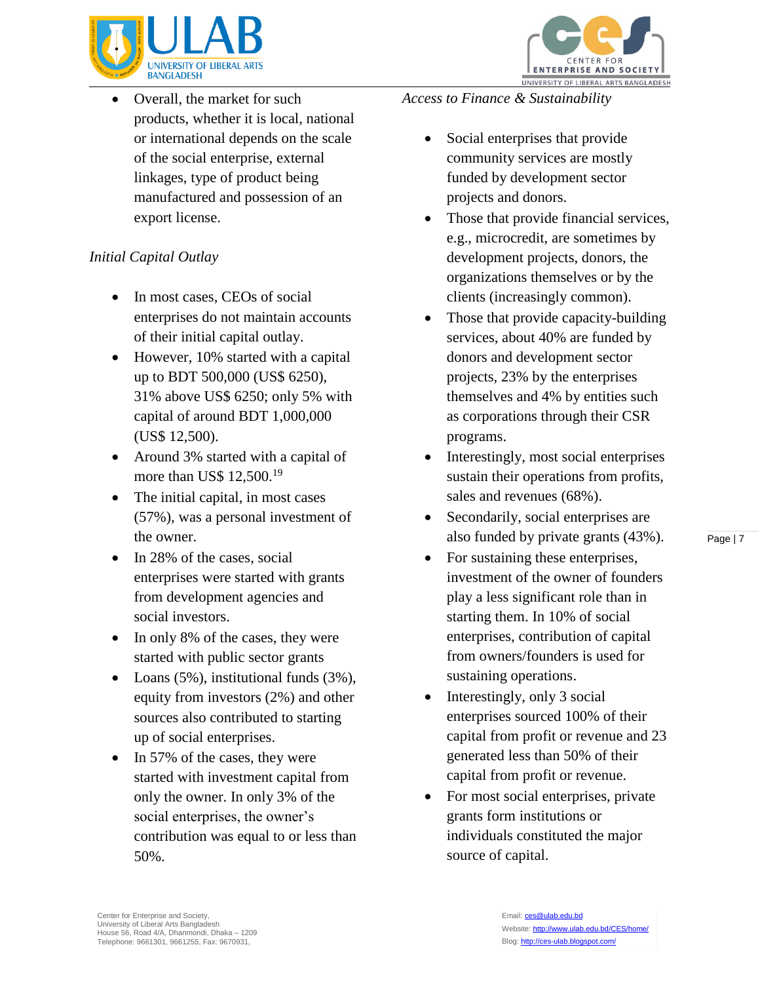

 Overall, the market for such products, whether it is local, national or international depends on the scale of the social enterprise, external linkages, type of product being manufactured and possession of an export license.

# *Initial Capital Outlay*

- In most cases, CEOs of social enterprises do not maintain accounts of their initial capital outlay.
- However, 10% started with a capital up to BDT 500,000 (US\$ 6250), 31% above US\$ 6250; only 5% with capital of around BDT 1,000,000 (US\$ 12,500).
- Around 3% started with a capital of more than US\$ 12,500.<sup>19</sup>
- The initial capital, in most cases (57%), was a personal investment of the owner.
- In 28% of the cases, social enterprises were started with grants from development agencies and social investors.
- In only 8% of the cases, they were started with public sector grants
- Loans  $(5\%)$ , institutional funds  $(3\%)$ , equity from investors (2%) and other sources also contributed to starting up of social enterprises.
- In 57% of the cases, they were started with investment capital from only the owner. In only 3% of the social enterprises, the owner's contribution was equal to or less than 50%.

*Access to Finance & Sustainability*

- Social enterprises that provide community services are mostly funded by development sector projects and donors.
- Those that provide financial services, e.g., microcredit, are sometimes by development projects, donors, the organizations themselves or by the clients (increasingly common).

CENTER FOR

ENTERPRISE AND SOCIETY

UNIVERSITY OF LIBERAL ARTS BANGLADESH

- Those that provide capacity-building services, about 40% are funded by donors and development sector projects, 23% by the enterprises themselves and 4% by entities such as corporations through their CSR programs.
- Interestingly, most social enterprises sustain their operations from profits, sales and revenues (68%).
- Secondarily, social enterprises are also funded by private grants (43%).
- For sustaining these enterprises, investment of the owner of founders play a less significant role than in starting them. In 10% of social enterprises, contribution of capital from owners/founders is used for sustaining operations.
- Interestingly, only 3 social enterprises sourced 100% of their capital from profit or revenue and 23 generated less than 50% of their capital from profit or revenue.
- For most social enterprises, private grants form institutions or individuals constituted the major source of capital.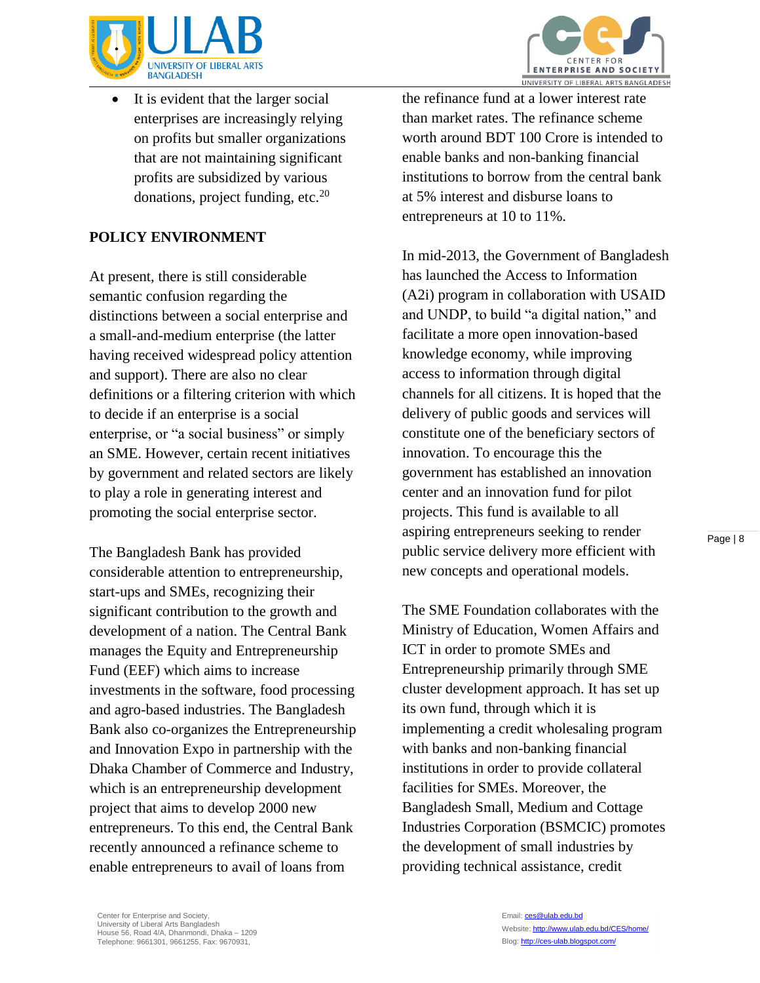



 It is evident that the larger social enterprises are increasingly relying on profits but smaller organizations that are not maintaining significant profits are subsidized by various donations, project funding, etc.<sup>20</sup>

#### **POLICY ENVIRONMENT**

At present, there is still considerable semantic confusion regarding the distinctions between a social enterprise and a small-and-medium enterprise (the latter having received widespread policy attention and support). There are also no clear definitions or a filtering criterion with which to decide if an enterprise is a social enterprise, or "a social business" or simply an SME. However, certain recent initiatives by government and related sectors are likely to play a role in generating interest and promoting the social enterprise sector.

The Bangladesh Bank has provided considerable attention to entrepreneurship, start-ups and SMEs, recognizing their significant contribution to the growth and development of a nation. The Central Bank manages the Equity and Entrepreneurship Fund (EEF) which aims to increase investments in the software, food processing and agro-based industries. The Bangladesh Bank also co-organizes the Entrepreneurship and Innovation Expo in partnership with the Dhaka Chamber of Commerce and Industry, which is an entrepreneurship development project that aims to develop 2000 new entrepreneurs. To this end, the Central Bank recently announced a refinance scheme to enable entrepreneurs to avail of loans from

the refinance fund at a lower interest rate than market rates. The refinance scheme worth around BDT 100 Crore is intended to enable banks and non-banking financial institutions to borrow from the central bank at 5% interest and disburse loans to entrepreneurs at 10 to 11%.

In mid-2013, the Government of Bangladesh has launched the Access to Information (A2i) program in collaboration with USAID and UNDP, to build "a digital nation," and facilitate a more open innovation-based knowledge economy, while improving access to information through digital channels for all citizens. It is hoped that the delivery of public goods and services will constitute one of the beneficiary sectors of innovation. To encourage this the government has established an innovation center and an innovation fund for pilot projects. This fund is available to all aspiring entrepreneurs seeking to render public service delivery more efficient with new concepts and operational models.

The SME Foundation collaborates with the Ministry of Education, Women Affairs and ICT in order to promote SMEs and Entrepreneurship primarily through SME cluster development approach. It has set up its own fund, through which it is implementing a credit wholesaling program with banks and non-banking financial institutions in order to provide collateral facilities for SMEs. Moreover, the Bangladesh Small, Medium and Cottage Industries Corporation (BSMCIC) promotes the development of small industries by providing technical assistance, credit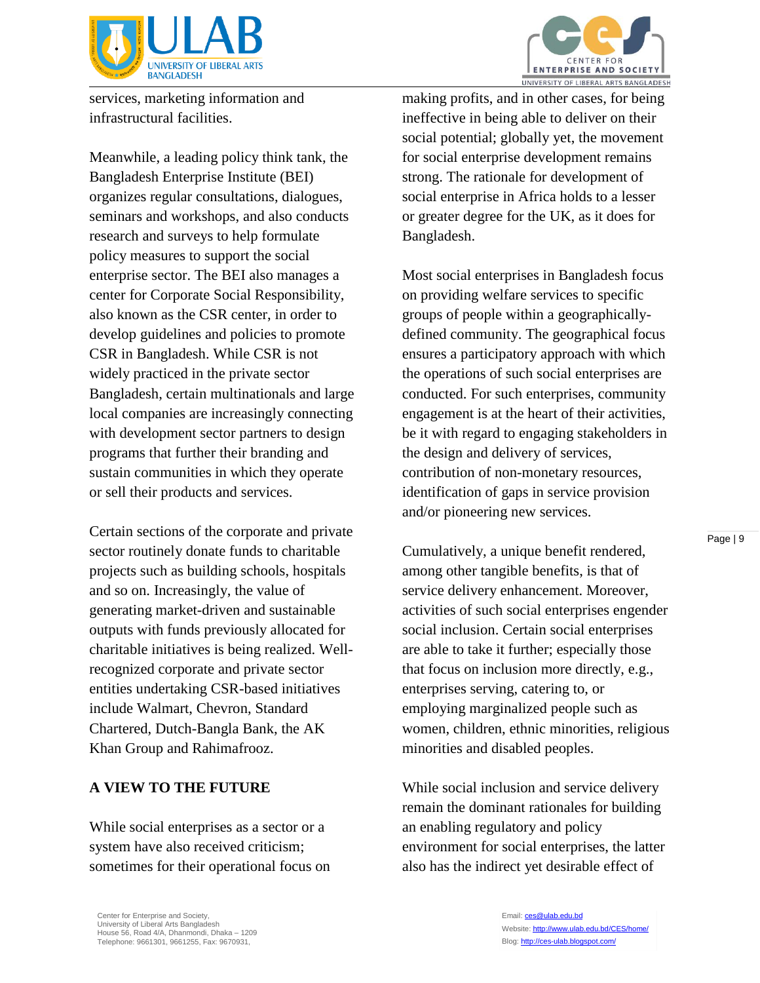

services, marketing information and infrastructural facilities.

Meanwhile, a leading policy think tank, the Bangladesh Enterprise Institute (BEI) organizes regular consultations, dialogues, seminars and workshops, and also conducts research and surveys to help formulate policy measures to support the social enterprise sector. The BEI also manages a center for Corporate Social Responsibility, also known as the CSR center, in order to develop guidelines and policies to promote CSR in Bangladesh. While CSR is not widely practiced in the private sector Bangladesh, certain multinationals and large local companies are increasingly connecting with development sector partners to design programs that further their branding and sustain communities in which they operate or sell their products and services.

Certain sections of the corporate and private sector routinely donate funds to charitable projects such as building schools, hospitals and so on. Increasingly, the value of generating market-driven and sustainable outputs with funds previously allocated for charitable initiatives is being realized. Wellrecognized corporate and private sector entities undertaking CSR-based initiatives include Walmart, Chevron, Standard Chartered, Dutch-Bangla Bank, the AK Khan Group and Rahimafrooz.

#### **A VIEW TO THE FUTURE**

While social enterprises as a sector or a system have also received criticism; sometimes for their operational focus on



**CENTER FOR** ENTERPRISE AND SOCIETY UNIVERSITY OF LIBERAL ARTS BANGLADESH

making profits, and in other cases, for being ineffective in being able to deliver on their social potential; globally yet, the movement for social enterprise development remains strong. The rationale for development of social enterprise in Africa holds to a lesser or greater degree for the UK, as it does for Bangladesh.

Most social enterprises in Bangladesh focus on providing welfare services to specific groups of people within a geographicallydefined community. The geographical focus ensures a participatory approach with which the operations of such social enterprises are conducted. For such enterprises, community engagement is at the heart of their activities, be it with regard to engaging stakeholders in the design and delivery of services, contribution of non-monetary resources, identification of gaps in service provision and/or pioneering new services.

Cumulatively, a unique benefit rendered, among other tangible benefits, is that of service delivery enhancement. Moreover, activities of such social enterprises engender social inclusion. Certain social enterprises are able to take it further; especially those that focus on inclusion more directly, e.g., enterprises serving, catering to, or employing marginalized people such as women, children, ethnic minorities, religious minorities and disabled peoples.

While social inclusion and service delivery remain the dominant rationales for building an enabling regulatory and policy environment for social enterprises, the latter also has the indirect yet desirable effect of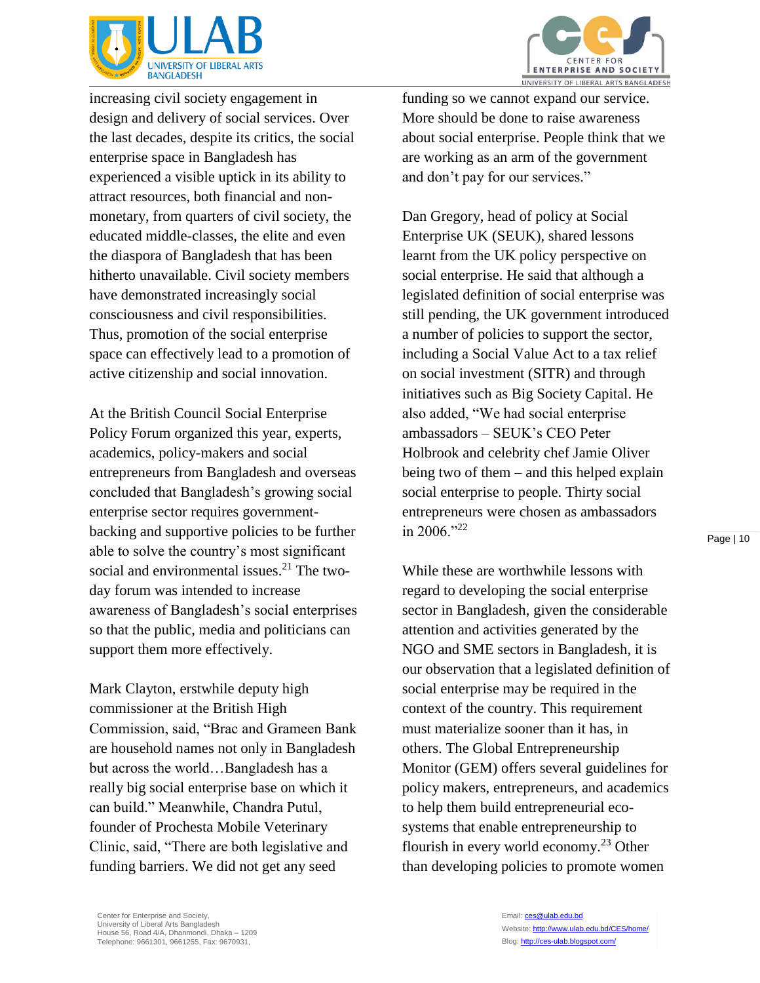

increasing civil society engagement in design and delivery of social services. Over the last decades, despite its critics, the social enterprise space in Bangladesh has experienced a visible uptick in its ability to attract resources, both financial and nonmonetary, from quarters of civil society, the educated middle-classes, the elite and even the diaspora of Bangladesh that has been hitherto unavailable. Civil society members have demonstrated increasingly social consciousness and civil responsibilities. Thus, promotion of the social enterprise space can effectively lead to a promotion of active citizenship and social innovation.

At the British Council Social Enterprise Policy Forum organized this year, experts, academics, policy-makers and social entrepreneurs from Bangladesh and overseas concluded that Bangladesh's growing social enterprise sector requires governmentbacking and supportive policies to be further able to solve the country's most significant social and environmental issues.<sup>21</sup> The twoday forum was intended to increase awareness of Bangladesh's social enterprises so that the public, media and politicians can support them more effectively.

Mark Clayton, erstwhile deputy high commissioner at the British High Commission, said, "Brac and Grameen Bank are household names not only in Bangladesh but across the world…Bangladesh has a really big social enterprise base on which it can build." Meanwhile, Chandra Putul, founder of Prochesta Mobile Veterinary Clinic, said, "There are both legislative and funding barriers. We did not get any seed

funding so we cannot expand our service. More should be done to raise awareness about social enterprise. People think that we are working as an arm of the government and don't pay for our services."

Dan Gregory, head of policy at Social Enterprise UK (SEUK), shared lessons learnt from the UK policy perspective on social enterprise. He said that although a legislated definition of social enterprise was still pending, the UK government introduced a number of policies to support the sector, including a Social Value Act to a tax relief on social investment (SITR) and through initiatives such as Big Society Capital. He also added, "We had social enterprise ambassadors – SEUK's CEO Peter Holbrook and celebrity chef Jamie Oliver being two of them – and this helped explain social enterprise to people. Thirty social entrepreneurs were chosen as ambassadors in 2006."22

While these are worthwhile lessons with regard to developing the social enterprise sector in Bangladesh, given the considerable attention and activities generated by the NGO and SME sectors in Bangladesh, it is our observation that a legislated definition of social enterprise may be required in the context of the country. This requirement must materialize sooner than it has, in others. The Global Entrepreneurship Monitor (GEM) offers several guidelines for policy makers, entrepreneurs, and academics to help them build entrepreneurial ecosystems that enable entrepreneurship to flourish in every world economy.<sup>23</sup> Other than developing policies to promote women

Page | 10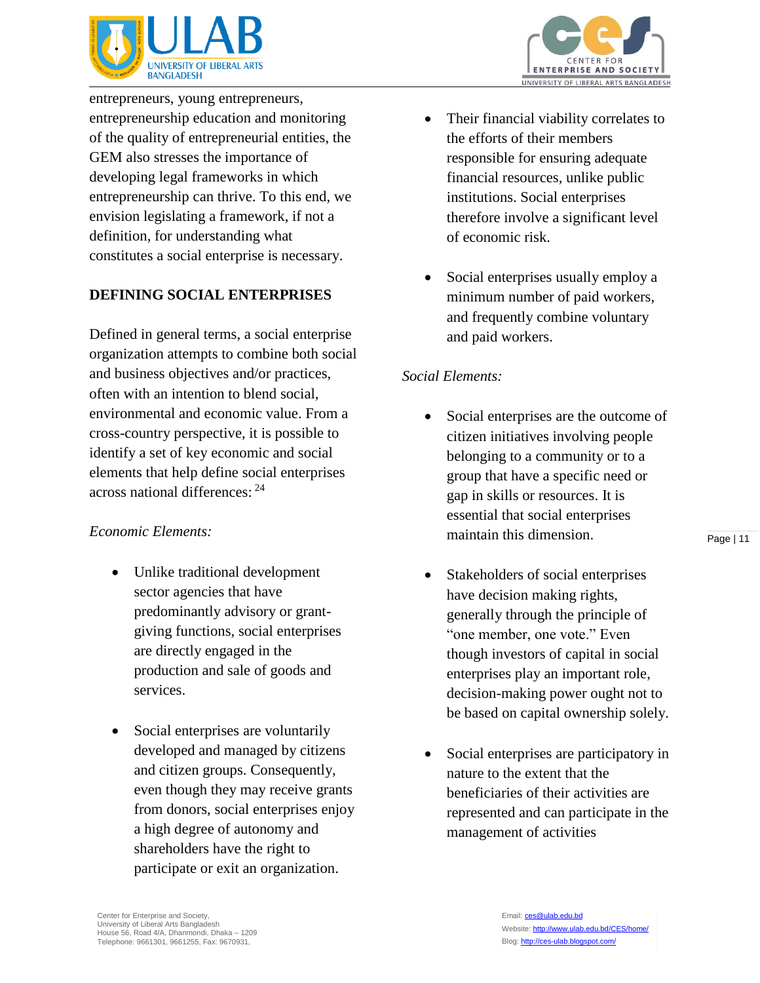

entrepreneurs, young entrepreneurs, entrepreneurship education and monitoring of the quality of entrepreneurial entities, the GEM also stresses the importance of developing legal frameworks in which entrepreneurship can thrive. To this end, we envision legislating a framework, if not a definition, for understanding what constitutes a social enterprise is necessary.

## **DEFINING SOCIAL ENTERPRISES**

Defined in general terms, a social enterprise organization attempts to combine both social and business objectives and/or practices, often with an intention to blend social, environmental and economic value. From a cross-country perspective, it is possible to identify a set of key economic and social elements that help define social enterprises across national differences: <sup>24</sup>

#### *Economic Elements:*

- Unlike traditional development sector agencies that have predominantly advisory or grantgiving functions, social enterprises are directly engaged in the production and sale of goods and services.
- Social enterprises are voluntarily developed and managed by citizens and citizen groups. Consequently, even though they may receive grants from donors, social enterprises enjoy a high degree of autonomy and shareholders have the right to participate or exit an organization.
- Their financial viability correlates to the efforts of their members responsible for ensuring adequate financial resources, unlike public institutions. Social enterprises therefore involve a significant level of economic risk.
- Social enterprises usually employ a minimum number of paid workers, and frequently combine voluntary and paid workers.

#### *Social Elements:*

- Social enterprises are the outcome of citizen initiatives involving people belonging to a community or to a group that have a specific need or gap in skills or resources. It is essential that social enterprises maintain this dimension.
- Stakeholders of social enterprises have decision making rights, generally through the principle of "one member, one vote." Even though investors of capital in social enterprises play an important role, decision-making power ought not to be based on capital ownership solely.
- Social enterprises are participatory in nature to the extent that the beneficiaries of their activities are represented and can participate in the management of activities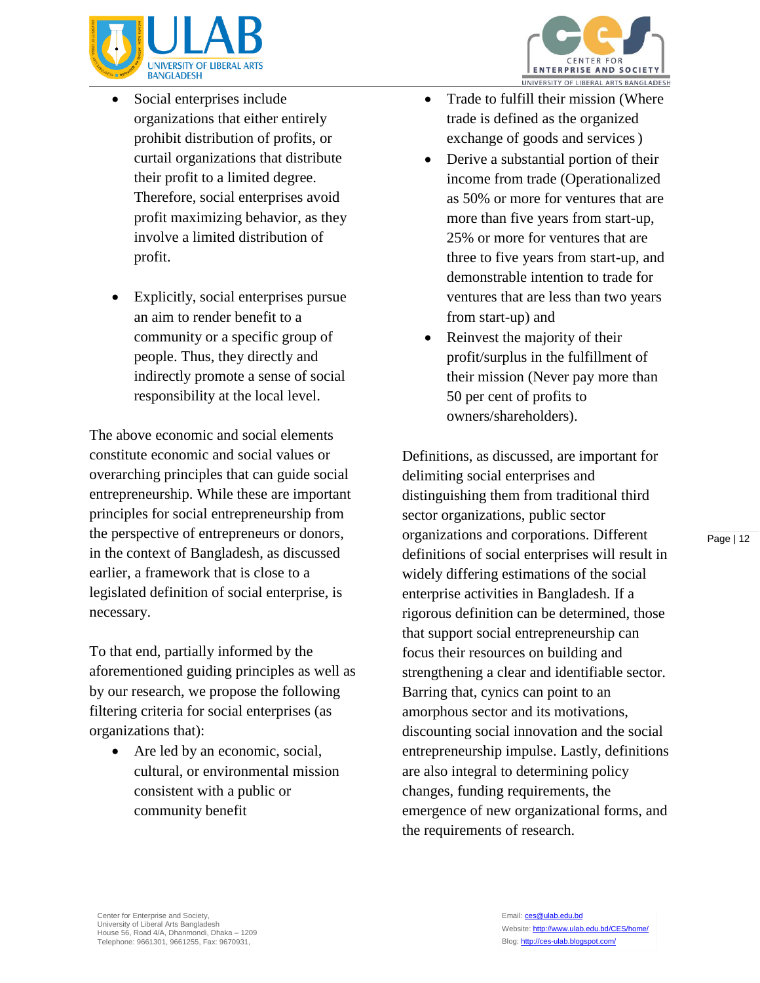

- Social enterprises include organizations that either entirely prohibit distribution of profits, or curtail organizations that distribute their profit to a limited degree. Therefore, social enterprises avoid profit maximizing behavior, as they involve a limited distribution of profit.
- Explicitly, social enterprises pursue an aim to render benefit to a community or a specific group of people. Thus, they directly and indirectly promote a sense of social responsibility at the local level.

The above economic and social elements constitute economic and social values or overarching principles that can guide social entrepreneurship. While these are important principles for social entrepreneurship from the perspective of entrepreneurs or donors, in the context of Bangladesh, as discussed earlier, a framework that is close to a legislated definition of social enterprise, is necessary.

To that end, partially informed by the aforementioned guiding principles as well as by our research, we propose the following filtering criteria for social enterprises (as organizations that):

 Are led by an economic, social, cultural, or environmental mission consistent with a public or community benefit



- Trade to fulfill their mission (Where trade is defined as the organized exchange of goods and services)
- Derive a substantial portion of their income from trade (Operationalized as 50% or more for ventures that are more than five years from start-up, 25% or more for ventures that are three to five years from start-up, and demonstrable intention to trade for ventures that are less than two years from start-up) and
- Reinvest the majority of their profit/surplus in the fulfillment of their mission (Never pay more than 50 per cent of profits to owners/shareholders).

Definitions, as discussed, are important for delimiting social enterprises and distinguishing them from traditional third sector organizations, public sector organizations and corporations. Different definitions of social enterprises will result in widely differing estimations of the social enterprise activities in Bangladesh. If a rigorous definition can be determined, those that support social entrepreneurship can focus their resources on building and strengthening a clear and identifiable sector. Barring that, cynics can point to an amorphous sector and its motivations, discounting social innovation and the social entrepreneurship impulse. Lastly, definitions are also integral to determining policy changes, funding requirements, the emergence of new organizational forms, and the requirements of research.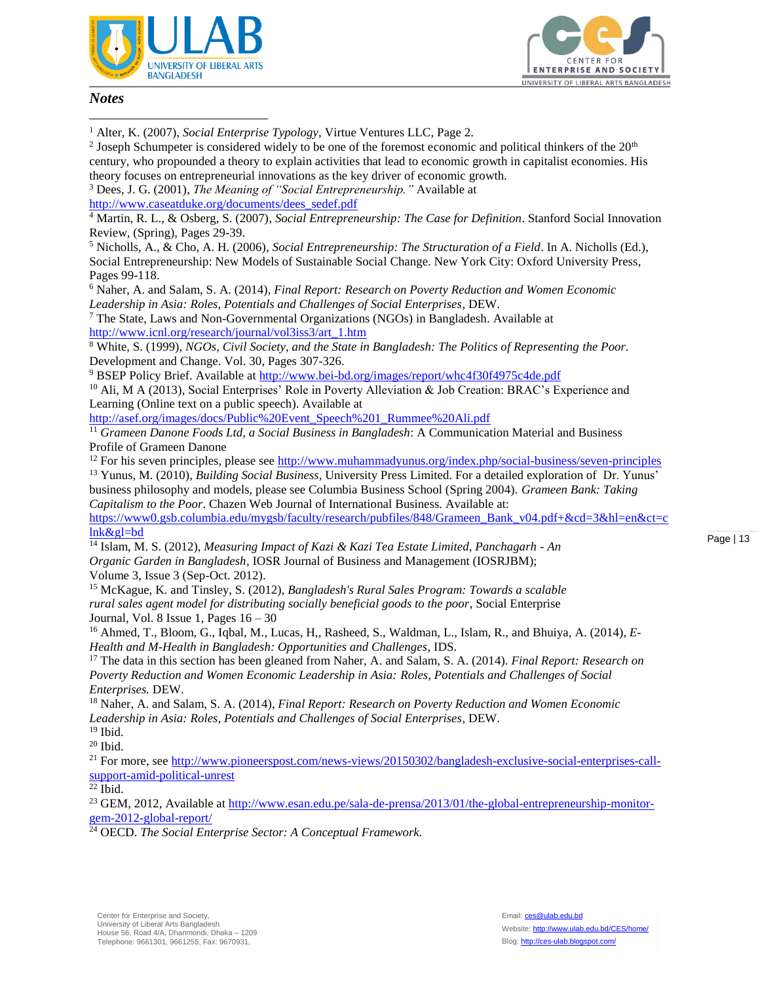



#### *Notes*

 $\overline{a}$ 

<sup>1</sup> Alter, K. (2007), *Social Enterprise Typology,* Virtue Ventures LLC, Page 2.

<sup>2</sup> Joseph Schumpeter is considered widely to be one of the foremost economic and political thinkers of the  $20<sup>th</sup>$ century, who propounded a theory to explain activities that lead to economic growth in capitalist economies. His theory focuses on entrepreneurial innovations as the key driver of economic growth. <sup>3</sup> Dees, J. G. (2001), *The Meaning of "Social Entrepreneurship."* Available at [http://www.caseatduke.org/documents/dees\\_sedef.pdf](http://www.caseatduke.org/documents/dees_sedef.pdf)

<sup>4</sup> Martin, R. L., & Osberg, S. (2007), *Social Entrepreneurship: The Case for Definition*. Stanford Social Innovation Review, (Spring), Pages 29-39.

<sup>5</sup> Nicholls, A., & Cho, A. H. (2006), *Social Entrepreneurship: The Structuration of a Field*. In A. Nicholls (Ed.), Social Entrepreneurship: New Models of Sustainable Social Change. New York City: Oxford University Press, Pages 99-118.

<sup>6</sup> Naher, A. and Salam, S. A. (2014), *Final Report: Research on Poverty Reduction and Women Economic Leadership in Asia: Roles, Potentials and Challenges of Social Enterprises,* DEW.

<sup>7</sup> The State, Laws and Non-Governmental Organizations (NGOs) in Bangladesh. Available at [http://www.icnl.org/research/journal/vol3iss3/art\\_1.htm](http://www.icnl.org/research/journal/vol3iss3/art_1.htm)

<sup>8</sup> White, S. (1999), *NGOs, Civil Society, and the State in Bangladesh: The Politics of Representing the Poor*. Development and Change. Vol. 30, Pages 307-326.

<sup>9</sup> BSEP Policy Brief. Available at<http://www.bei-bd.org/images/report/whc4f30f4975c4de.pdf>

<sup>10</sup> Ali, M A (2013), Social Enterprises' Role in Poverty Alleviation & Job Creation: BRAC's Experience and Learning (Online text on a public speech). Available at

[http://asef.org/images/docs/Public%20Event\\_Speech%201\\_Rummee%20Ali.pdf](http://asef.org/images/docs/Public%20Event_Speech%201_Rummee%20Ali.pdf)

<sup>11</sup> *Grameen Danone Foods Ltd, a Social Business in Bangladesh*: A Communication Material and Business Profile of Grameen Danone

<sup>12</sup> For his seven principles, please see<http://www.muhammadyunus.org/index.php/social-business/seven-principles>

<sup>13</sup> Yunus, M. (2010), *Building Social Business,* University Press Limited. For a detailed exploration of Dr. Yunus' business philosophy and models, please see Columbia Business School (Spring 2004). *Grameen Bank: Taking Capitalism to the Poor*. Chazen Web Journal of International Business. Available at:

[https://www0.gsb.columbia.edu/mygsb/faculty/research/pubfiles/848/Grameen\\_Bank\\_v04.pdf+&cd=3&hl=en&ct=c](https://www0.gsb.columbia.edu/mygsb/faculty/research/pubfiles/848/Grameen_Bank_v04.pdf+&cd=3&hl=en&ct=clnk&gl=bd) [lnk&gl=bd](https://www0.gsb.columbia.edu/mygsb/faculty/research/pubfiles/848/Grameen_Bank_v04.pdf+&cd=3&hl=en&ct=clnk&gl=bd)

<sup>14</sup> Islam, M. S. (2012), *Measuring Impact of Kazi & Kazi Tea Estate Limited, Panchagarh - An Organic Garden in Bangladesh,* IOSR Journal of Business and Management (IOSRJBM); Volume 3, Issue 3 (Sep-Oct. 2012).

<sup>15</sup> McKague, K. and Tinsley, S. (2012), *Bangladesh's Rural Sales Program: Towards a scalable rural sales agent model for distributing socially beneficial goods to the poor*, Social Enterprise Journal, Vol. 8 Issue 1, Pages  $16 - 30$ 

<sup>16</sup> Ahmed, T., Bloom, G., Iqbal, M., Lucas, H,, Rasheed, S., Waldman, L., Islam, R., and Bhuiya, A. (2014), *E-Health and M-Health in Bangladesh: Opportunities and Challenges,* IDS.

<sup>17</sup> The data in this section has been gleaned from Naher, A. and Salam, S. A. (2014). *Final Report: Research on Poverty Reduction and Women Economic Leadership in Asia: Roles, Potentials and Challenges of Social Enterprises.* DEW.

<sup>18</sup> Naher, A. and Salam, S. A. (2014), *Final Report: Research on Poverty Reduction and Women Economic Leadership in Asia: Roles, Potentials and Challenges of Social Enterprises,* DEW. <sup>19</sup> Ibid.

 $20$  Ibid.

<sup>21</sup> For more, see [http://www.pioneerspost.com/news-views/20150302/bangladesh-exclusive-social-enterprises-call](http://www.pioneerspost.com/news-views/20150302/bangladesh-exclusive-social-enterprises-call-support-amid-political-unrest)[support-amid-political-unrest](http://www.pioneerspost.com/news-views/20150302/bangladesh-exclusive-social-enterprises-call-support-amid-political-unrest)

 $22$  Ibid.

<sup>23</sup> GEM, 2012, Available at [http://www.esan.edu.pe/sala-de-prensa/2013/01/the-global-entrepreneurship-monitor](http://www.esan.edu.pe/sala-de-prensa/2013/01/the-global-entrepreneurship-monitor-gem-2012-global-report/)[gem-2012-global-report/](http://www.esan.edu.pe/sala-de-prensa/2013/01/the-global-entrepreneurship-monitor-gem-2012-global-report/) 

<sup>24</sup> OECD. *The Social Enterprise Sector: A Conceptual Framework.*